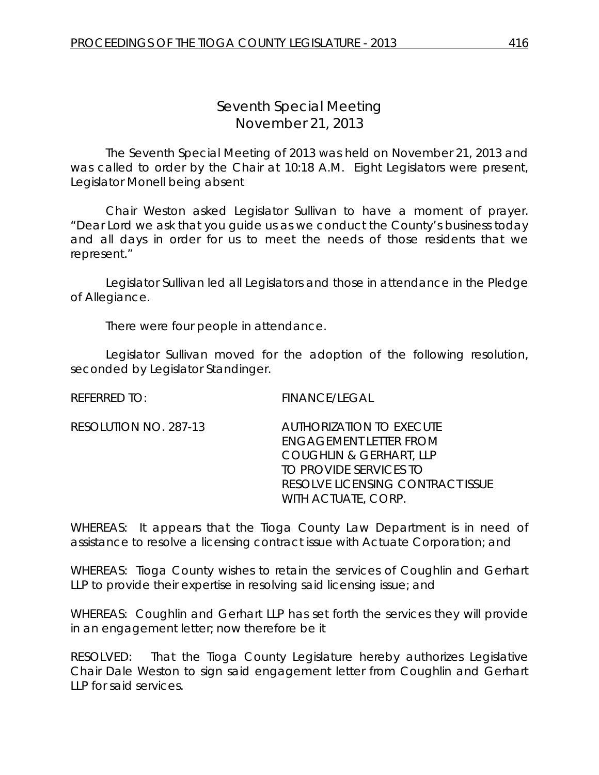## *Seventh Special Meeting* November 21, 2013

The Seventh Special Meeting of 2013 was held on November 21, 2013 and was called to order by the Chair at 10:18 A.M. Eight Legislators were present, Legislator Monell being absent

Chair Weston asked Legislator Sullivan to have a moment of prayer. "Dear Lord we ask that you guide us as we conduct the County's business today and all days in order for us to meet the needs of those residents that we represent."

Legislator Sullivan led all Legislators and those in attendance in the Pledge of Allegiance.

There were four people in attendance.

Legislator Sullivan moved for the adoption of the following resolution, seconded by Legislator Standinger.

REFERRED TO: FINANCE/LEGAL

RESOLUTION NO. 287-13 *AUTHORIZATION TO EXECUTE ENGAGEMENT LETTER FROM COUGHLIN & GERHART, LLP TO PROVIDE SERVICES TO RESOLVE LICENSING CONTRACT ISSUE WITH ACTUATE, CORP.* 

WHEREAS: It appears that the Tioga County Law Department is in need of assistance to resolve a licensing contract issue with Actuate Corporation; and

WHEREAS: Tioga County wishes to retain the services of Coughlin and Gerhart LLP to provide their expertise in resolving said licensing issue; and

WHEREAS: Coughlin and Gerhart LLP has set forth the services they will provide in an engagement letter; now therefore be it

RESOLVED: That the Tioga County Legislature hereby authorizes Legislative Chair Dale Weston to sign said engagement letter from Coughlin and Gerhart LLP for said services.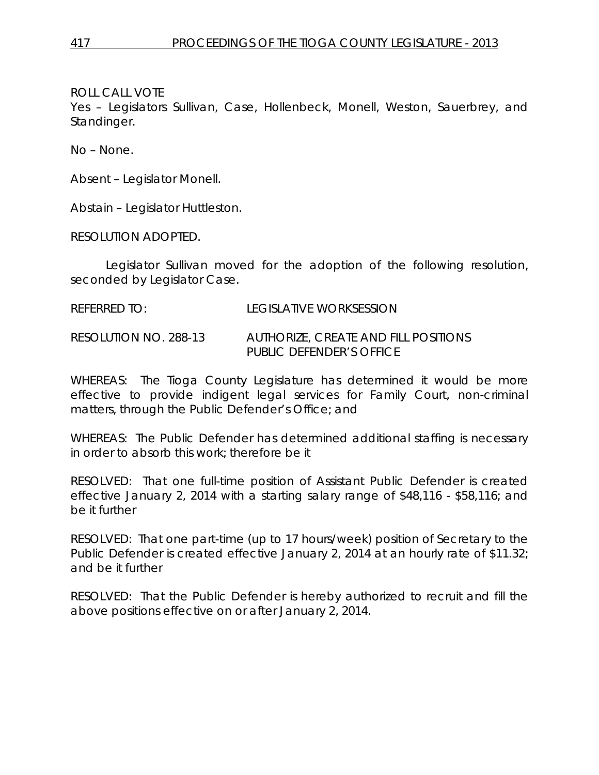ROLL CALL VOTE

Yes – Legislators Sullivan, Case, Hollenbeck, Monell, Weston, Sauerbrey, and Standinger.

No – None.

Absent – Legislator Monell.

Abstain – Legislator Huttleston.

RESOLUTION ADOPTED.

Legislator Sullivan moved for the adoption of the following resolution, seconded by Legislator Case.

REFERRED TO: LEGISLATIVE WORKSESSION

RESOLUTION NO. 288-13 *AUTHORIZE, CREATE AND FILL POSITIONS PUBLIC DEFENDER'S OFFICE*

WHEREAS: The Tioga County Legislature has determined it would be more effective to provide indigent legal services for Family Court, non-criminal matters, through the Public Defender's Office; and

WHEREAS: The Public Defender has determined additional staffing is necessary in order to absorb this work; therefore be it

RESOLVED: That one full-time position of Assistant Public Defender is created effective January 2, 2014 with a starting salary range of \$48,116 - \$58,116; and be it further

RESOLVED: That one part-time (up to 17 hours/week) position of Secretary to the Public Defender is created effective January 2, 2014 at an hourly rate of \$11.32; and be it further

RESOLVED: That the Public Defender is hereby authorized to recruit and fill the above positions effective on or after January 2, 2014.